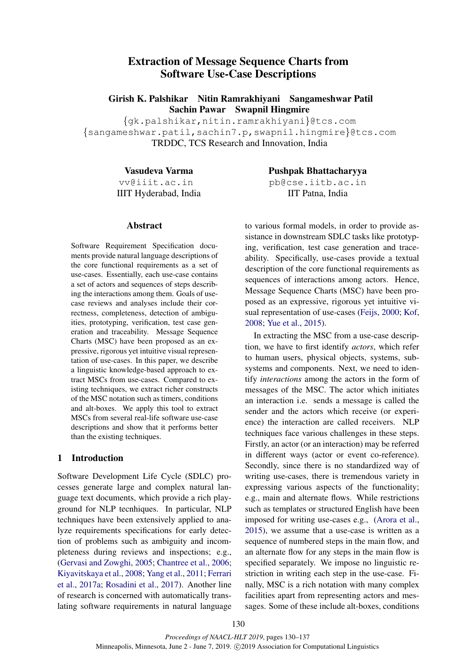# Extraction of Message Sequence Charts from Software Use-Case Descriptions

Girish K. Palshikar Nitin Ramrakhiyani Sangameshwar Patil Sachin Pawar Swapnil Hingmire

{gk.palshikar,nitin.ramrakhiyani}@tcs.com {sangameshwar.patil,sachin7.p,swapnil.hingmire}@tcs.com TRDDC, TCS Research and Innovation, India

Vasudeva Varma

vv@iiit.ac.in IIIT Hyderabad, India Pushpak Bhattacharyya pb@cse.iitb.ac.in IIT Patna, India

#### Abstract

Software Requirement Specification documents provide natural language descriptions of the core functional requirements as a set of use-cases. Essentially, each use-case contains a set of actors and sequences of steps describing the interactions among them. Goals of usecase reviews and analyses include their correctness, completeness, detection of ambiguities, prototyping, verification, test case generation and traceability. Message Sequence Charts (MSC) have been proposed as an expressive, rigorous yet intuitive visual representation of use-cases. In this paper, we describe a linguistic knowledge-based approach to extract MSCs from use-cases. Compared to existing techniques, we extract richer constructs of the MSC notation such as timers, conditions and alt-boxes. We apply this tool to extract MSCs from several real-life software use-case descriptions and show that it performs better than the existing techniques.

## 1 Introduction

Software Development Life Cycle (SDLC) processes generate large and complex natural language text documents, which provide a rich playground for NLP tecnhiques. In particular, NLP techniques have been extensively applied to analyze requirements specifications for early detection of problems such as ambiguity and incompleteness during reviews and inspections; e.g., [\(Gervasi and Zowghi,](#page-7-0) [2005;](#page-7-0) [Chantree et al.,](#page-7-1) [2006;](#page-7-1) [Kiyavitskaya et al.,](#page-7-2) [2008;](#page-7-2) [Yang et al.,](#page-7-3) [2011;](#page-7-3) [Ferrari](#page-7-4) [et al.,](#page-7-4) [2017a;](#page-7-4) [Rosadini et al.,](#page-7-5) [2017\)](#page-7-5). Another line of research is concerned with automatically translating software requirements in natural language to various formal models, in order to provide assistance in downstream SDLC tasks like prototyping, verification, test case generation and traceability. Specifically, use-cases provide a textual description of the core functional requirements as sequences of interactions among actors. Hence, Message Sequence Charts (MSC) have been proposed as an expressive, rigorous yet intuitive visual representation of use-cases [\(Feijs,](#page-7-6) [2000;](#page-7-6) [Kof,](#page-7-7) [2008;](#page-7-7) [Yue et al.,](#page-7-8) [2015\)](#page-7-8).

In extracting the MSC from a use-case description, we have to first identify *actors*, which refer to human users, physical objects, systems, subsystems and components. Next, we need to identify *interactions* among the actors in the form of messages of the MSC. The actor which initiates an interaction i.e. sends a message is called the sender and the actors which receive (or experience) the interaction are called receivers. NLP techniques face various challenges in these steps. Firstly, an actor (or an interaction) may be referred in different ways (actor or event co-reference). Secondly, since there is no standardized way of writing use-cases, there is tremendous variety in expressing various aspects of the functionality; e.g., main and alternate flows. While restrictions such as templates or structured English have been imposed for writing use-cases e.g., [\(Arora et al.,](#page-7-9) [2015\)](#page-7-9), we assume that a use-case is written as a sequence of numbered steps in the main flow, and an alternate flow for any steps in the main flow is specified separately. We impose no linguistic restriction in writing each step in the use-case. Finally, MSC is a rich notation with many complex facilities apart from representing actors and messages. Some of these include alt-boxes, conditions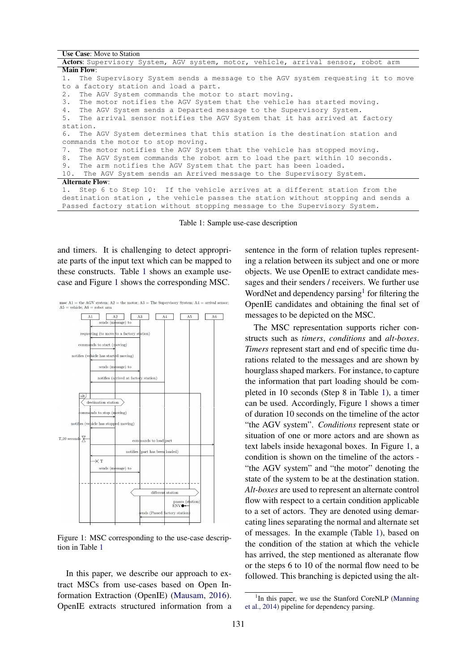<span id="page-1-0"></span>

| <b>Use Case:</b> Move to Station                                                  |  |  |  |  |  |  |  |
|-----------------------------------------------------------------------------------|--|--|--|--|--|--|--|
| Actors: Supervisory System, AGV system, motor, vehicle, arrival sensor, robot arm |  |  |  |  |  |  |  |
| <b>Main Flow:</b>                                                                 |  |  |  |  |  |  |  |
| 1. The Supervisory System sends a message to the AGV system requesting it to move |  |  |  |  |  |  |  |
| to a factory station and load a part.                                             |  |  |  |  |  |  |  |
| 2. The AGV System commands the motor to start moving.                             |  |  |  |  |  |  |  |
| 3. The motor notifies the AGV System that the vehicle has started moving.         |  |  |  |  |  |  |  |
| 4. The AGV System sends a Departed message to the Supervisory System.             |  |  |  |  |  |  |  |
| 5. The arrival sensor notifies the AGV System that it has arrived at factory      |  |  |  |  |  |  |  |
| station.                                                                          |  |  |  |  |  |  |  |
| 6. The AGV System determines that this station is the destination station and     |  |  |  |  |  |  |  |
| commands the motor to stop moving.                                                |  |  |  |  |  |  |  |
| 7. The motor notifies the AGV System that the vehicle has stopped moving.         |  |  |  |  |  |  |  |
| 8. The AGV System commands the robot arm to load the part within 10 seconds.      |  |  |  |  |  |  |  |
| 9. The arm notifies the AGV System that the part has been loaded.                 |  |  |  |  |  |  |  |
| 10. The AGV System sends an Arrived message to the Supervisory System.            |  |  |  |  |  |  |  |
| <b>Alternate Flow:</b>                                                            |  |  |  |  |  |  |  |
| 1. Step 6 to Step 10: If the vehicle arrives at a different station from the      |  |  |  |  |  |  |  |
| destination station, the vehicle passes the station without stopping and sends a  |  |  |  |  |  |  |  |
| Passed factory station without stopping message to the Supervisory System.        |  |  |  |  |  |  |  |

Table 1: Sample use-case description

and timers. It is challenging to detect appropriate parts of the input text which can be mapped to these constructs. Table [1](#page-1-0) shows an example usecase and Figure [1](#page-1-1) shows the corresponding MSC.

<span id="page-1-1"></span>msc A1 = the AGV system; A2 = the motor; A3 = The Supervisory System; A4 = arrival sensor; A5 = vehicle; A6 = robot arm



Figure 1: MSC corresponding to the use-case description in Table [1](#page-1-0)

In this paper, we describe our approach to extract MSCs from use-cases based on Open Information Extraction (OpenIE) [\(Mausam,](#page-7-10) [2016\)](#page-7-10). OpenIE extracts structured information from a sentence in the form of relation tuples representing a relation between its subject and one or more objects. We use OpenIE to extract candidate messages and their senders / receivers. We further use WordNet and dependency parsing<sup>[1](#page-1-2)</sup> for filtering the OpenIE candidates and obtaining the final set of messages to be depicted on the MSC.

The MSC representation supports richer constructs such as *timers*, *conditions* and *alt-boxes*. *Timers* represent start and end of specific time durations related to the messages and are shown by hourglass shaped markers. For instance, to capture the information that part loading should be completed in 10 seconds (Step 8 in Table [1\)](#page-1-0), a timer can be used. Accordingly, Figure [1](#page-1-0) shows a timer of duration 10 seconds on the timeline of the actor "the AGV system". *Conditions* represent state or situation of one or more actors and are shown as text labels inside hexagonal boxes. In Figure [1,](#page-1-1) a condition is shown on the timeline of the actors - "the AGV system" and "the motor" denoting the state of the system to be at the destination station. *Alt-boxes* are used to represent an alternate control flow with respect to a certain condition applicable to a set of actors. They are denoted using demarcating lines separating the normal and alternate set of messages. In the example (Table [1\)](#page-1-0), based on the condition of the station at which the vehicle has arrived, the step mentioned as alteranate flow or the steps 6 to 10 of the normal flow need to be followed. This branching is depicted using the alt-

<span id="page-1-2"></span><sup>&</sup>lt;sup>1</sup>In this paper, we use the Stanford CoreNLP [\(Manning](#page-7-11) [et al.,](#page-7-11) [2014\)](#page-7-11) pipeline for dependency parsing.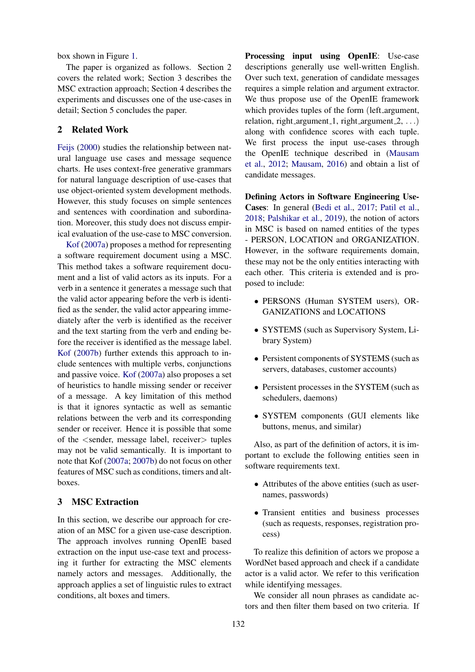box shown in Figure [1.](#page-1-1)

The paper is organized as follows. Section 2 covers the related work; Section 3 describes the MSC extraction approach; Section 4 describes the experiments and discusses one of the use-cases in detail; Section 5 concludes the paper.

## 2 Related Work

[Feijs](#page-7-6) [\(2000\)](#page-7-6) studies the relationship between natural language use cases and message sequence charts. He uses context-free generative grammars for natural language description of use-cases that use object-oriented system development methods. However, this study focuses on simple sentences and sentences with coordination and subordination. Moreover, this study does not discuss empirical evaluation of the use-case to MSC conversion.

[Kof](#page-7-12) [\(2007a\)](#page-7-12) proposes a method for representing a software requirement document using a MSC. This method takes a software requirement document and a list of valid actors as its inputs. For a verb in a sentence it generates a message such that the valid actor appearing before the verb is identified as the sender, the valid actor appearing immediately after the verb is identified as the receiver and the text starting from the verb and ending before the receiver is identified as the message label. [Kof](#page-7-13) [\(2007b\)](#page-7-13) further extends this approach to include sentences with multiple verbs, conjunctions and passive voice. [Kof](#page-7-12) [\(2007a\)](#page-7-12) also proposes a set of heuristics to handle missing sender or receiver of a message. A key limitation of this method is that it ignores syntactic as well as semantic relations between the verb and its corresponding sender or receiver. Hence it is possible that some of the <sender, message label, receiver> tuples may not be valid semantically. It is important to note that Kof [\(2007a;](#page-7-12) [2007b\)](#page-7-13) do not focus on other features of MSC such as conditions, timers and altboxes.

### 3 MSC Extraction

In this section, we describe our approach for creation of an MSC for a given use-case description. The approach involves running OpenIE based extraction on the input use-case text and processing it further for extracting the MSC elements namely actors and messages. Additionally, the approach applies a set of linguistic rules to extract conditions, alt boxes and timers.

Processing input using OpenIE: Use-case descriptions generally use well-written English. Over such text, generation of candidate messages requires a simple relation and argument extractor. We thus propose use of the OpenIE framework which provides tuples of the form (left argument, relation, right argument 1, right argument  $2, \ldots$ ) along with confidence scores with each tuple. We first process the input use-cases through the OpenIE technique described in [\(Mausam](#page-7-14) [et al.,](#page-7-14) [2012;](#page-7-14) [Mausam,](#page-7-10) [2016\)](#page-7-10) and obtain a list of candidate messages.

Defining Actors in Software Engineering Use-Cases: In general [\(Bedi et al.,](#page-7-15) [2017;](#page-7-15) [Patil et al.,](#page-7-16) [2018;](#page-7-16) [Palshikar et al.,](#page-7-17) [2019\)](#page-7-17), the notion of actors in MSC is based on named entities of the types - PERSON, LOCATION and ORGANIZATION. However, in the software requirements domain, these may not be the only entities interacting with each other. This criteria is extended and is proposed to include:

- PERSONS (Human SYSTEM users), OR-GANIZATIONS and LOCATIONS
- SYSTEMS (such as Supervisory System, Library System)
- Persistent components of SYSTEMS (such as servers, databases, customer accounts)
- Persistent processes in the SYSTEM (such as schedulers, daemons)
- SYSTEM components (GUI elements like buttons, menus, and similar)

Also, as part of the definition of actors, it is important to exclude the following entities seen in software requirements text.

- Attributes of the above entities (such as usernames, passwords)
- Transient entities and business processes (such as requests, responses, registration process)

To realize this definition of actors we propose a WordNet based approach and check if a candidate actor is a valid actor. We refer to this verification while identifying messages.

We consider all noun phrases as candidate actors and then filter them based on two criteria. If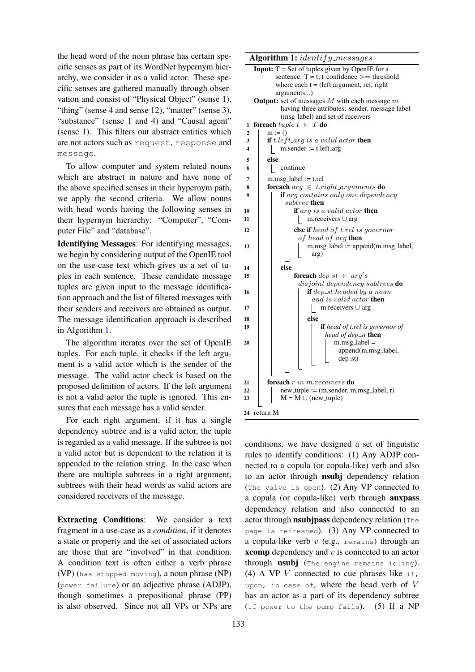the head word of the noun phrase has certain specific senses as part of its WordNet hypernym hierarchy, we consider it as a valid actor. These specific senses are gathered manually through observation and consist of "Physical Object" (sense 1), "thing" (sense 4 and sense 12), "matter" (sense 3), "substance" (sense 1 and 4) and "Causal agent" (sense 1). This filters out abstract entities which are not actors such as request, response and message.

To allow computer and system related nouns which are abstract in nature and have none of the above specified senses in their hypernym path, we apply the second criteria. We allow nouns with head words having the following senses in their hypernym hierarchy: "Computer", "Computer File" and "database".

Identifying Messages: For identifying messages, we begin by considering output of the OpenIE tool on the use-case text which gives us a set of tuples in each sentence. These candidate message tuples are given input to the message identification approach and the list of filtered messages with their senders and receivers are obtained as output. The message identification approach is described in Algorithm [1.](#page-3-0)

The algorithm iterates over the set of OpenIE tuples. For each tuple, it checks if the left argument is a valid actor which is the sender of the message. The valid actor check is based on the proposed definition of actors. If the left argument is not a valid actor the tuple is ignored. This ensures that each message has a valid sender.

For each right argument, if it has a single dependency subtree and is a valid actor, the tuple is regarded as a valid message. If the subtree is not a valid actor but is dependent to the relation it is appended to the relation string. In the case when there are multiple subtrees in a right argument, subtrees with their head words as valid actors are considered receivers of the message.

Extracting Conditions: We consider a text fragment in a use-case as a *condition*, if it denotes a state or property and the set of associated actors are those that are "involved" in that condition. A condition text is often either a verb phrase (VP) (has stopped moving), a noun phrase (NP) (power failure) or an adjective phrase (ADJP), though sometimes a prepositional phrase (PP) is also observed. Since not all VPs or NPs are Algorithm 1: *identify messages* 

<span id="page-3-0"></span>

|                | <b>Input:</b> $T = Set of tuples given by OpenIE for a$             |  |  |  |  |  |  |  |  |
|----------------|---------------------------------------------------------------------|--|--|--|--|--|--|--|--|
|                | sentence. $T = t$ ; t_confidence $\geq$ = threshold                 |  |  |  |  |  |  |  |  |
|                | where each $t =$ (left argument, rel, right                         |  |  |  |  |  |  |  |  |
|                | arguments)                                                          |  |  |  |  |  |  |  |  |
|                | <b>Output:</b> set of messages $M$ with each message $m$            |  |  |  |  |  |  |  |  |
|                | having three attributes: sender, message label                      |  |  |  |  |  |  |  |  |
|                |                                                                     |  |  |  |  |  |  |  |  |
|                | (msg <sub>-label</sub> ) and set of receivers                       |  |  |  |  |  |  |  |  |
| 1              | foreach $tuple$ $t \in T$ do                                        |  |  |  |  |  |  |  |  |
| $\overline{2}$ | $m := ()$                                                           |  |  |  |  |  |  |  |  |
| 3              | if $t.left\_arg$ is a valid actor then                              |  |  |  |  |  |  |  |  |
| 4              | $m.sender := t.left_arg$                                            |  |  |  |  |  |  |  |  |
| 5              | else                                                                |  |  |  |  |  |  |  |  |
| 6              | continue                                                            |  |  |  |  |  |  |  |  |
|                |                                                                     |  |  |  |  |  |  |  |  |
| 7              | $m.msg\_label := t.rel$                                             |  |  |  |  |  |  |  |  |
| 8              | <b>foreach</b> $arg \in t.right\_arguments$ <b>do</b>               |  |  |  |  |  |  |  |  |
| 9              | if arg contains only one dependency                                 |  |  |  |  |  |  |  |  |
|                | $subtree$ then                                                      |  |  |  |  |  |  |  |  |
| 10             | if $arg$ is a valid actor then                                      |  |  |  |  |  |  |  |  |
| 11             | m.receivers $\cup$ arg                                              |  |  |  |  |  |  |  |  |
|                |                                                                     |  |  |  |  |  |  |  |  |
| 12             | else if head of $t$ rel is governor                                 |  |  |  |  |  |  |  |  |
|                | of head of arg then                                                 |  |  |  |  |  |  |  |  |
| 13             | $m.msg\_label := append(m.msg\_label,$                              |  |  |  |  |  |  |  |  |
|                | arg)                                                                |  |  |  |  |  |  |  |  |
|                |                                                                     |  |  |  |  |  |  |  |  |
| 14             | else                                                                |  |  |  |  |  |  |  |  |
| 15             | <b>foreach</b> $dep\_st \in arg's$                                  |  |  |  |  |  |  |  |  |
|                | disjoint dependency subtrees do                                     |  |  |  |  |  |  |  |  |
| 16             | $\mathbf{if}$ dep_st headed by a noun                               |  |  |  |  |  |  |  |  |
|                | and is valid actor <b>then</b>                                      |  |  |  |  |  |  |  |  |
| 17             | m.receivers $\cup$ arg                                              |  |  |  |  |  |  |  |  |
| 18             | else                                                                |  |  |  |  |  |  |  |  |
| 19             | if head of t.rel is governor of                                     |  |  |  |  |  |  |  |  |
|                | head of dep_st <b>then</b>                                          |  |  |  |  |  |  |  |  |
| 20             | $m.msg\_label =$                                                    |  |  |  |  |  |  |  |  |
|                |                                                                     |  |  |  |  |  |  |  |  |
|                | append(m.msg_label,                                                 |  |  |  |  |  |  |  |  |
|                | $dep_st)$                                                           |  |  |  |  |  |  |  |  |
|                |                                                                     |  |  |  |  |  |  |  |  |
|                |                                                                     |  |  |  |  |  |  |  |  |
| 21             | <b>foreach</b> $r$ in m.receivers <b>do</b>                         |  |  |  |  |  |  |  |  |
| 22             | $new_{\text{tuple}} := (m \text{.sender}, m \text{.msg\_label}, r)$ |  |  |  |  |  |  |  |  |
| 23             | $M = M \cup$ (new_tuple)                                            |  |  |  |  |  |  |  |  |
|                |                                                                     |  |  |  |  |  |  |  |  |
| 24             | return M                                                            |  |  |  |  |  |  |  |  |

conditions, we have designed a set of linguistic rules to identify conditions: (1) Any ADJP connected to a copula (or copula-like) verb and also to an actor through nsubj dependency relation (The valve is open). (2) Any VP connected to a copula (or copula-like) verb through auxpass dependency relation and also connected to an actor through nsubjpass dependency relation (The page is refreshed). (3) Any VP connected to a copula-like verb  $v$  (e.g., remains) through an **xcomp** dependency and  $v$  is connected to an actor through nsubj (The engine remains idling). (4) A VP  $V$  connected to cue phrases like  $if,$ upon, in case of, where the head verb of  $V$ has an actor as a part of its dependency subtree (If power to the pump fails). (5) If a NP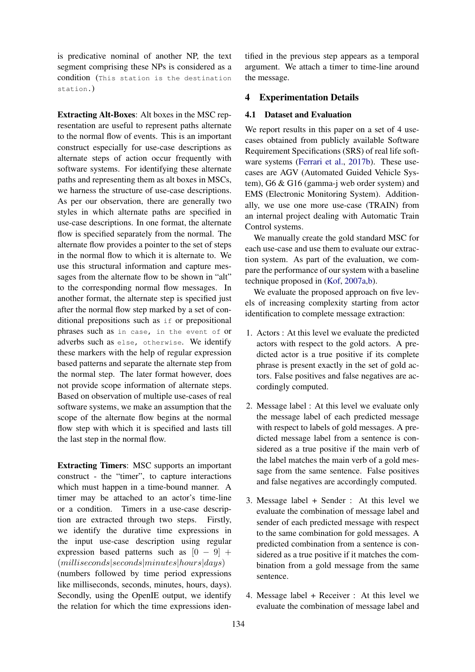is predicative nominal of another NP, the text segment comprising these NPs is considered as a condition (This station is the destination station.)

Extracting Alt-Boxes: Alt boxes in the MSC representation are useful to represent paths alternate to the normal flow of events. This is an important construct especially for use-case descriptions as alternate steps of action occur frequently with software systems. For identifying these alternate paths and representing them as alt boxes in MSCs, we harness the structure of use-case descriptions. As per our observation, there are generally two styles in which alternate paths are specified in use-case descriptions. In one format, the alternate flow is specified separately from the normal. The alternate flow provides a pointer to the set of steps in the normal flow to which it is alternate to. We use this structural information and capture messages from the alternate flow to be shown in "alt" to the corresponding normal flow messages. In another format, the alternate step is specified just after the normal flow step marked by a set of conditional prepositions such as if or prepositional phrases such as in case, in the event of or adverbs such as else, otherwise. We identify these markers with the help of regular expression based patterns and separate the alternate step from the normal step. The later format however, does not provide scope information of alternate steps. Based on observation of multiple use-cases of real software systems, we make an assumption that the scope of the alternate flow begins at the normal flow step with which it is specified and lasts till the last step in the normal flow.

Extracting Timers: MSC supports an important construct - the "timer", to capture interactions which must happen in a time-bound manner. A timer may be attached to an actor's time-line or a condition. Timers in a use-case description are extracted through two steps. Firstly, we identify the durative time expressions in the input use-case description using regular expression based patterns such as  $[0 - 9]$  +  $(millise\nconds|seconds|minutes|hours|days)$ (numbers followed by time period expressions like milliseconds, seconds, minutes, hours, days).

Secondly, using the OpenIE output, we identify the relation for which the time expressions identified in the previous step appears as a temporal argument. We attach a timer to time-line around the message.

### 4 Experimentation Details

#### 4.1 Dataset and Evaluation

We report results in this paper on a set of 4 usecases obtained from publicly available Software Requirement Specifications (SRS) of real life software systems [\(Ferrari et al.,](#page-7-18) [2017b\)](#page-7-18). These usecases are AGV (Automated Guided Vehicle System), G6 & G16 (gamma-j web order system) and EMS (Electronic Monitoring System). Additionally, we use one more use-case (TRAIN) from an internal project dealing with Automatic Train Control systems.

We manually create the gold standard MSC for each use-case and use them to evaluate our extraction system. As part of the evaluation, we compare the performance of our system with a baseline technique proposed in [\(Kof,](#page-7-12) [2007a](#page-7-12)[,b\)](#page-7-13).

We evaluate the proposed approach on five levels of increasing complexity starting from actor identification to complete message extraction:

- 1. Actors : At this level we evaluate the predicted actors with respect to the gold actors. A predicted actor is a true positive if its complete phrase is present exactly in the set of gold actors. False positives and false negatives are accordingly computed.
- 2. Message label : At this level we evaluate only the message label of each predicted message with respect to labels of gold messages. A predicted message label from a sentence is considered as a true positive if the main verb of the label matches the main verb of a gold message from the same sentence. False positives and false negatives are accordingly computed.
- 3. Message label + Sender : At this level we evaluate the combination of message label and sender of each predicted message with respect to the same combination for gold messages. A predicted combination from a sentence is considered as a true positive if it matches the combination from a gold message from the same sentence.
- 4. Message label + Receiver : At this level we evaluate the combination of message label and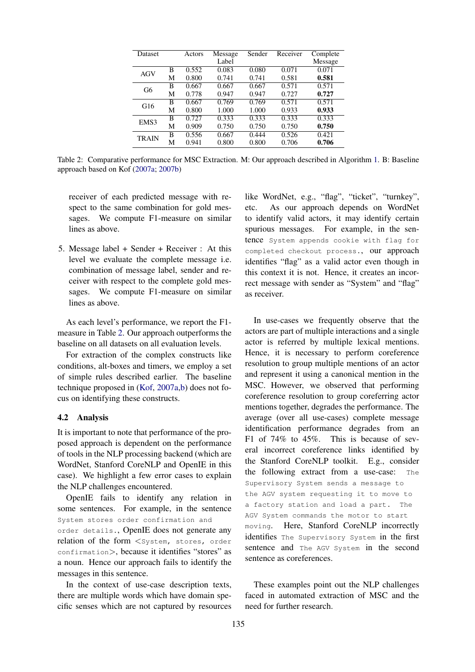<span id="page-5-0"></span>

| Dataset      |   | Actors | Message | Sender | Receiver | Complete |
|--------------|---|--------|---------|--------|----------|----------|
|              |   |        | Label   |        |          | Message  |
| AGV          | В | 0.552  | 0.083   | 0.080  | 0.071    | 0.071    |
|              | М | 0.800  | 0.741   | 0.741  | 0.581    | 0.581    |
| G6           | В | 0.667  | 0.667   | 0.667  | 0.571    | 0.571    |
|              | М | 0.778  | 0.947   | 0.947  | 0.727    | 0.727    |
| G16          | B | 0.667  | 0.769   | 0.769  | 0.571    | 0.571    |
|              | М | 0.800  | 1.000   | 1.000  | 0.933    | 0.933    |
| EMS3         | B | 0.727  | 0.333   | 0.333  | 0.333    | 0.333    |
|              | М | 0.909  | 0.750   | 0.750  | 0.750    | 0.750    |
| <b>TRAIN</b> | B | 0.556  | 0.667   | 0.444  | 0.526    | 0.421    |
|              | М | 0.941  | 0.800   | 0.800  | 0.706    | 0.706    |

Table 2: Comparative performance for MSC Extraction. M: Our approach described in Algorithm [1.](#page-3-0) B: Baseline approach based on Kof [\(2007a;](#page-7-12) [2007b\)](#page-7-13)

receiver of each predicted message with respect to the same combination for gold messages. We compute F1-measure on similar lines as above.

5. Message label + Sender + Receiver : At this level we evaluate the complete message i.e. combination of message label, sender and receiver with respect to the complete gold messages. We compute F1-measure on similar lines as above.

As each level's performance, we report the F1 measure in Table [2.](#page-5-0) Our approach outperforms the baseline on all datasets on all evaluation levels.

For extraction of the complex constructs like conditions, alt-boxes and timers, we employ a set of simple rules described earlier. The baseline technique proposed in [\(Kof,](#page-7-12) [2007a,](#page-7-12)[b\)](#page-7-13) does not focus on identifying these constructs.

#### 4.2 Analysis

It is important to note that performance of the proposed approach is dependent on the performance of tools in the NLP processing backend (which are WordNet, Stanford CoreNLP and OpenIE in this case). We highlight a few error cases to explain the NLP challenges encountered.

OpenIE fails to identify any relation in some sentences. For example, in the sentence System stores order confirmation and order details., OpenIE does not generate any relation of the form <System, stores, order confirmation>, because it identifies "stores" as a noun. Hence our approach fails to identify the messages in this sentence.

In the context of use-case description texts, there are multiple words which have domain specific senses which are not captured by resources like WordNet, e.g., "flag", "ticket", "turnkey", etc. As our approach depends on WordNet to identify valid actors, it may identify certain spurious messages. For example, in the sentence System appends cookie with flag for completed checkout process., our approach identifies "flag" as a valid actor even though in this context it is not. Hence, it creates an incorrect message with sender as "System" and "flag" as receiver.

In use-cases we frequently observe that the actors are part of multiple interactions and a single actor is referred by multiple lexical mentions. Hence, it is necessary to perform coreference resolution to group multiple mentions of an actor and represent it using a canonical mention in the MSC. However, we observed that performing coreference resolution to group coreferring actor mentions together, degrades the performance. The average (over all use-cases) complete message identification performance degrades from an F1 of 74% to 45%. This is because of several incorrect coreference links identified by the Stanford CoreNLP toolkit. E.g., consider the following extract from a use-case: The Supervisory System sends a message to the AGV system requesting it to move to a factory station and load a part. The AGV System commands the motor to start moving. Here, Stanford CoreNLP incorrectly identifies The Supervisory System in the first sentence and The AGV System in the second sentence as coreferences.

These examples point out the NLP challenges faced in automated extraction of MSC and the need for further research.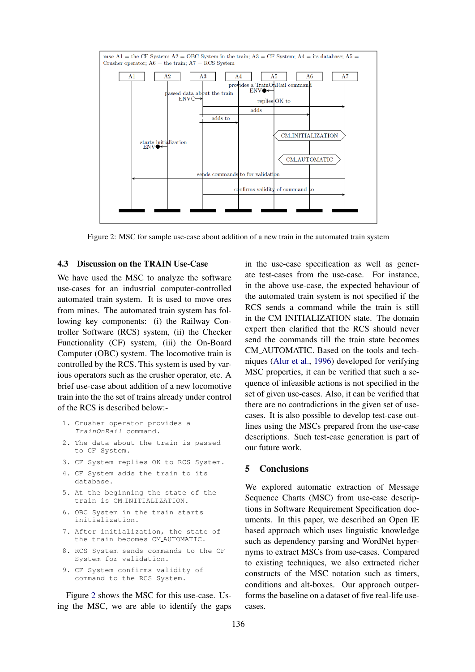<span id="page-6-0"></span>

Figure 2: MSC for sample use-case about addition of a new train in the automated train system

#### 4.3 Discussion on the TRAIN Use-Case

We have used the MSC to analyze the software use-cases for an industrial computer-controlled automated train system. It is used to move ores from mines. The automated train system has following key components: (i) the Railway Controller Software (RCS) system, (ii) the Checker Functionality (CF) system, (iii) the On-Board Computer (OBC) system. The locomotive train is controlled by the RCS. This system is used by various operators such as the crusher operator, etc. A brief use-case about addition of a new locomotive train into the the set of trains already under control of the RCS is described below:-

- 1. Crusher operator provides a TrainOnRail command.
- 2. The data about the train is passed to CF System.
- 3. CF System replies OK to RCS System.
- 4. CF System adds the train to its database.
- 5. At the beginning the state of the train is CM INITIALIZATION.
- 6. OBC System in the train starts initialization.
- 7. After initialization, the state of the train becomes CM AUTOMATIC.
- 8. RCS System sends commands to the CF System for validation.
- 9. CF System confirms validity of command to the RCS System.

Figure [2](#page-6-0) shows the MSC for this use-case. Using the MSC, we are able to identify the gaps in the use-case specification as well as generate test-cases from the use-case. For instance, in the above use-case, the expected behaviour of the automated train system is not specified if the RCS sends a command while the train is still in the CM INITIALIZATION state. The domain expert then clarified that the RCS should never send the commands till the train state becomes CM AUTOMATIC. Based on the tools and techniques [\(Alur et al.,](#page-7-19) [1996\)](#page-7-19) developed for verifying MSC properties, it can be verified that such a sequence of infeasible actions is not specified in the set of given use-cases. Also, it can be verified that there are no contradictions in the given set of usecases. It is also possible to develop test-case outlines using the MSCs prepared from the use-case descriptions. Such test-case generation is part of our future work.

## 5 Conclusions

We explored automatic extraction of Message Sequence Charts (MSC) from use-case descriptions in Software Requirement Specification documents. In this paper, we described an Open IE based approach which uses linguistic knowledge such as dependency parsing and WordNet hypernyms to extract MSCs from use-cases. Compared to existing techniques, we also extracted richer constructs of the MSC notation such as timers, conditions and alt-boxes. Our approach outperforms the baseline on a dataset of five real-life usecases.